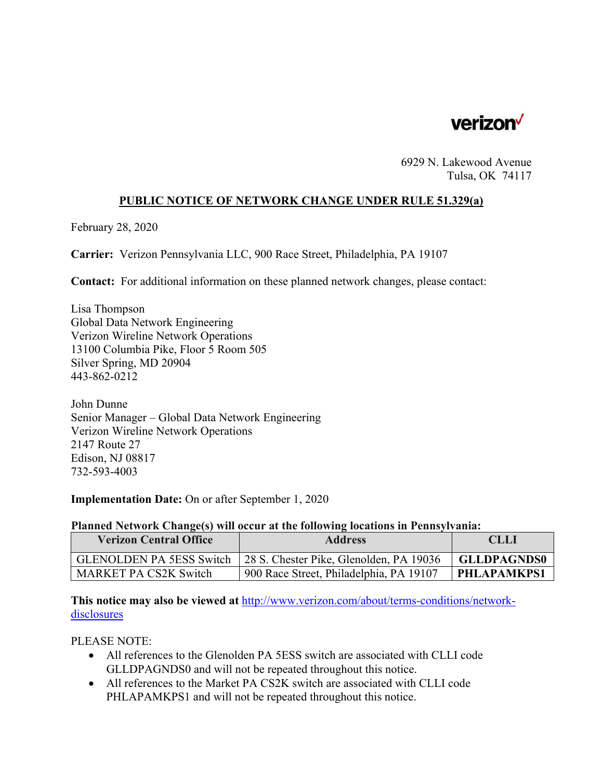

6929 N. Lakewood Avenue Tulsa, OK 74117

# **PUBLIC NOTICE OF NETWORK CHANGE UNDER RULE 51.329(a)**

February 28, 2020

**Carrier:** Verizon Pennsylvania LLC, 900 Race Street, Philadelphia, PA 19107

**Contact:** For additional information on these planned network changes, please contact:

Lisa Thompson Global Data Network Engineering Verizon Wireline Network Operations 13100 Columbia Pike, Floor 5 Room 505 Silver Spring, MD 20904 443-862-0212

John Dunne Senior Manager – Global Data Network Engineering Verizon Wireline Network Operations 2147 Route 27 Edison, NJ 08817 732-593-4003

**Implementation Date:** On or after September 1, 2020

#### **Planned Network Change(s) will occur at the following locations in Pennsylvania:**

| <b>Verizon Central Office</b>   | <b>Address</b>                          | <b>CLLI</b>        |
|---------------------------------|-----------------------------------------|--------------------|
| <b>GLENOLDEN PA 5ESS Switch</b> | 28 S. Chester Pike, Glenolden, PA 19036 | <b>GLLDPAGNDS0</b> |
| MARKET PA CS2K Switch           | 900 Race Street, Philadelphia, PA 19107 | PHLAPAMKPS1        |

**This notice may also be viewed at** http://www.verizon.com/about/terms-conditions/networkdisclosures

# PLEASE NOTE:

- All references to the Glenolden PA 5ESS switch are associated with CLLI code GLLDPAGNDS0 and will not be repeated throughout this notice.
- All references to the Market PA CS2K switch are associated with CLLI code PHLAPAMKPS1 and will not be repeated throughout this notice.